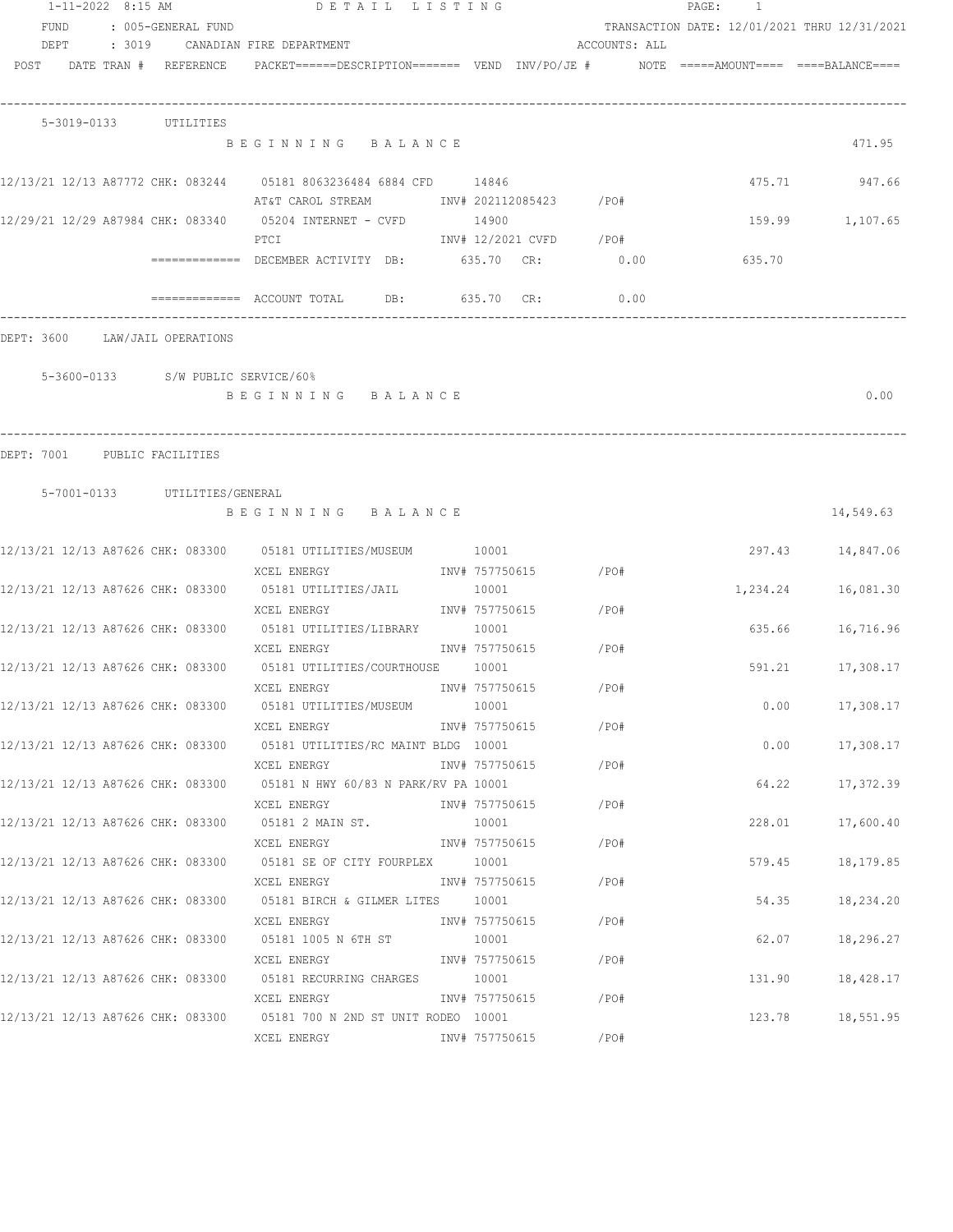|            | 1-11-2022 8:15 AM |  |                                    | DETAIL LISTING                                                                                                                  |                         |                        |               | PAGE:<br>$\overline{1}$                      |                    |
|------------|-------------------|--|------------------------------------|---------------------------------------------------------------------------------------------------------------------------------|-------------------------|------------------------|---------------|----------------------------------------------|--------------------|
| FUND       |                   |  | : 005-GENERAL FUND                 |                                                                                                                                 |                         |                        |               | TRANSACTION DATE: 12/01/2021 THRU 12/31/2021 |                    |
|            | DEPT : 3019       |  |                                    | CANADIAN FIRE DEPARTMENT                                                                                                        |                         |                        | ACCOUNTS: ALL |                                              |                    |
|            |                   |  | POST DATE TRAN # REFERENCE         | PACKET======DESCRIPTION======= VEND INV/PO/JE #     NOTE =====AMOUNT==== ====BALANCE====                                        |                         |                        |               |                                              |                    |
|            | 5-3019-0133       |  | UTILITIES                          |                                                                                                                                 |                         |                        |               |                                              |                    |
|            |                   |  |                                    | BEGINNING BALANCE                                                                                                               |                         |                        |               |                                              | 471.95             |
|            |                   |  |                                    | 12/13/21 12/13 A87772 CHK: 083244 05181 8063236484 6884 CFD 14846<br>AT&T CAROL STREAM             INV# 202112085423       /PO# |                         |                        |               | 475.71                                       | 947.66             |
|            |                   |  |                                    | 12/29/21 12/29 A87984 CHK: 083340 05204 INTERNET - CVFD 14900<br>PTCI                                                           |                         | INV# 12/2021 CVFD /PO# |               |                                              | 159.99 1,107.65    |
|            |                   |  |                                    | =============  DECEMBER ACTIVITY  DB:            635.70   CR:                0.00                                               |                         |                        |               | 635.70                                       |                    |
|            |                   |  |                                    |                                                                                                                                 | 635.70 CR:              |                        | 0.00          |                                              |                    |
|            |                   |  | DEPT: 3600 LAW/JAIL OPERATIONS     |                                                                                                                                 |                         |                        |               |                                              |                    |
|            |                   |  | 5-3600-0133 S/W PUBLIC SERVICE/60% |                                                                                                                                 |                         |                        |               |                                              |                    |
|            |                   |  |                                    | BEGINNING BALANCE                                                                                                               |                         |                        |               |                                              | 0.00               |
| DEPT: 7001 |                   |  | PUBLIC FACILITIES                  |                                                                                                                                 |                         |                        |               |                                              |                    |
|            |                   |  | 5-7001-0133 UTILITIES/GENERAL      | BEGINNING BALANCE                                                                                                               |                         |                        |               |                                              | 14,549.63          |
|            |                   |  |                                    | 12/13/21 12/13 A87626 CHK: 083300   05181 UTILITIES/MUSEUM   0001                                                               |                         |                        |               |                                              | 297.43 14,847.06   |
|            |                   |  |                                    | XCEL ENERGY<br>12/13/21 12/13 A87626 CHK: 083300 05181 UTILITIES/JAIL                                                           | INV# 757750615<br>10001 |                        | /PO#          |                                              | 1,234.24 16,081.30 |
|            |                   |  |                                    | XCEL ENERGY<br>12/13/21 12/13 A87626 CHK: 083300 05181 UTILITIES/LIBRARY 10001                                                  | INV# 757750615          |                        | /PO#          |                                              | 635.66 16,716.96   |
|            |                   |  |                                    | XCEL ENERGY<br>12/13/21 12/13 A87626 CHK: 083300 05181 UTILITIES/COURTHOUSE 10001                                               | INV# 757750615          |                        | /PO#          | 591.21                                       | 17,308.17          |
|            |                   |  |                                    | XCEL ENERGY<br>12/13/21 12/13 A87626 CHK: 083300 05181 UTILITIES/MUSEUM 10001                                                   | INV# 757750615          |                        | /PO#          |                                              | 0.00<br>17,308.17  |
|            |                   |  |                                    | XCEL ENERGY<br>12/13/21 12/13 A87626 CHK: 083300 05181 UTILITIES/RC MAINT BLDG 10001                                            |                         | INV# 757750615 /PO#    |               | 0.00                                         | 17,308.17          |
|            |                   |  |                                    | XCEL ENERGY<br>12/13/21 12/13 A87626 CHK: 083300 05181 N HWY 60/83 N PARK/RV PA 10001                                           | INV# 757750615          |                        | /PO#          | 64.22                                        | 17,372.39          |
|            |                   |  |                                    | XCEL ENERGY                                                                                                                     | INV# 757750615          |                        | $/$ PO#       |                                              |                    |
|            |                   |  |                                    | 12/13/21 12/13 A87626 CHK: 083300 05181 2 MAIN ST.<br>XCEL ENERGY                                                               | 10001<br>INV# 757750615 |                        | /PO#          | 228.01                                       | 17,600.40          |
|            |                   |  |                                    | 12/13/21 12/13 A87626 CHK: 083300 05181 SE OF CITY FOURPLEX 10001<br>XCEL ENERGY 1NV# 757750615                                 |                         |                        | $/$ PO#       | 579.45                                       | 18,179.85          |
|            |                   |  |                                    | 12/13/21 12/13 A87626 CHK: 083300 05181 BIRCH & GILMER LITES 10001<br>XCEL ENERGY                                               |                         | INV# 757750615 /PO#    |               | 54.35                                        | 18,234.20          |
|            |                   |  |                                    | 12/13/21 12/13 A87626 CHK: 083300   05181 1005 N 6TH ST   10001<br>XCEL ENERGY                                                  |                         | INV# 757750615 / PO#   |               | 62.07                                        | 18,296.27          |
|            |                   |  |                                    | 12/13/21 12/13 A87626 CHK: 083300 05181 RECURRING CHARGES 10001<br>XCEL ENERGY                                                  |                         | INV# 757750615 / PO#   |               | 131.90                                       | 18,428.17          |
|            |                   |  |                                    | 12/13/21 12/13 A87626 CHK: 083300 05181 700 N 2ND ST UNIT RODEO 10001                                                           |                         |                        |               |                                              | 123.78 18,551.95   |
|            |                   |  |                                    | XCEL ENERGY                                                                                                                     | INV# 757750615          |                        | /PO#          |                                              |                    |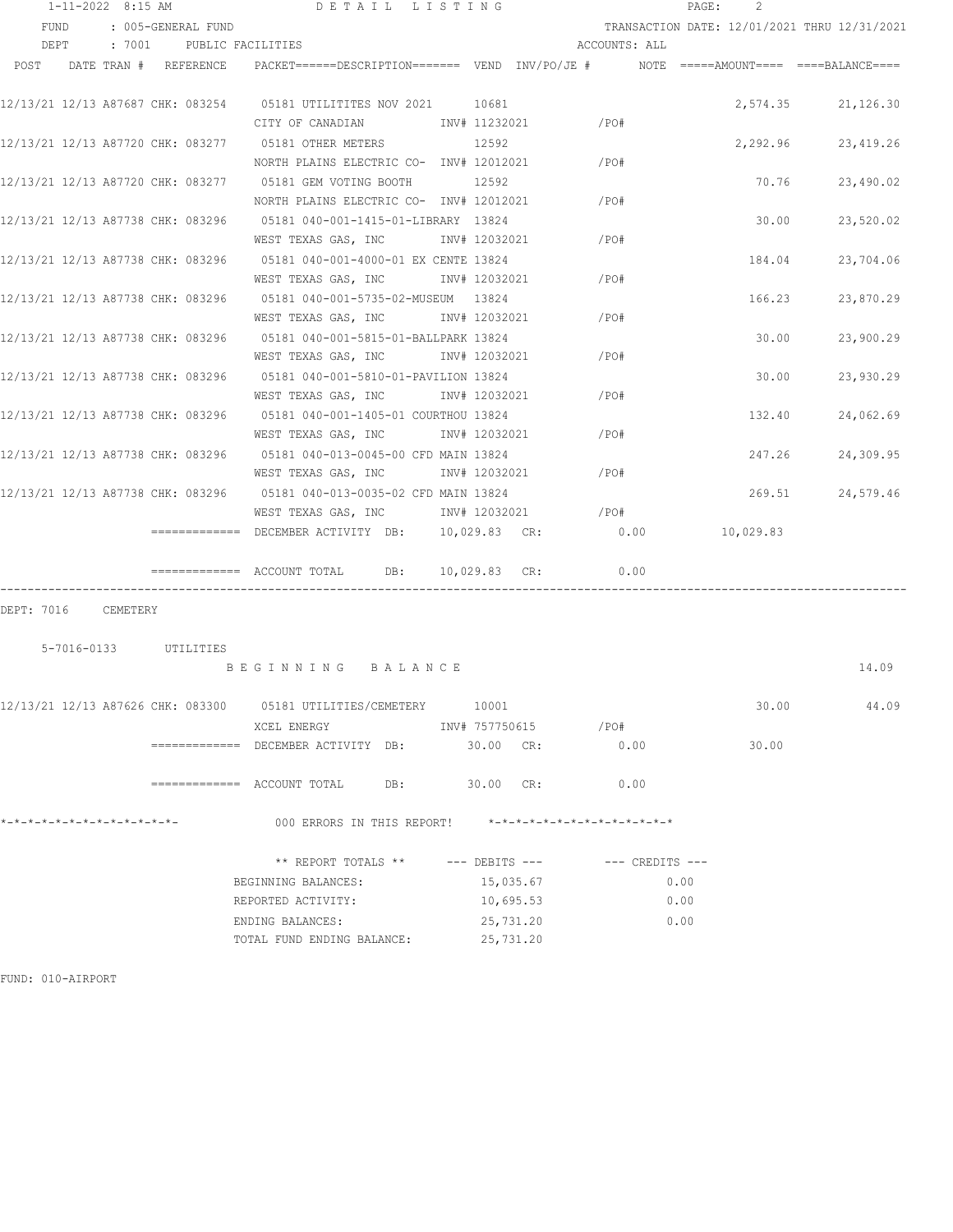|                                   | $1 - 11 - 2022$ 8:15 AM |        |          |                       | DETAIL LISTING                                                                       |                |                               |                     | PAGE: | 2         |                                              |
|-----------------------------------|-------------------------|--------|----------|-----------------------|--------------------------------------------------------------------------------------|----------------|-------------------------------|---------------------|-------|-----------|----------------------------------------------|
| FUND                              |                         |        |          | : 005-GENERAL FUND    |                                                                                      |                |                               |                     |       |           | TRANSACTION DATE: 12/01/2021 THRU 12/31/2021 |
| DEPT                              |                         | : 7001 |          | PUBLIC FACILITIES     |                                                                                      |                |                               | ACCOUNTS: ALL       |       |           |                                              |
| POST                              |                         |        |          | DATE TRAN # REFERENCE | PACKET======DESCRIPTION======= VEND INV/PO/JE # NOTE =====AMOUNT==== ====BALANCE==== |                |                               |                     |       |           |                                              |
|                                   |                         |        |          |                       |                                                                                      |                |                               |                     |       |           |                                              |
|                                   |                         |        |          |                       |                                                                                      |                |                               |                     |       |           | 2,574.35 21,126.30                           |
|                                   |                         |        |          |                       | CITY OF CANADIAN                                                                     | INV# 11232021  |                               | /PO#                |       |           |                                              |
|                                   |                         |        |          |                       | 12/13/21 12/13 A87720 CHK: 083277 05181 OTHER METERS                                 | 12592          |                               |                     |       | 2,292.96  | 23,419.26                                    |
|                                   |                         |        |          |                       | NORTH PLAINS ELECTRIC CO- INV# 12012021                                              |                |                               | /PO#                |       |           |                                              |
|                                   |                         |        |          |                       | 12/13/21 12/13 A87720 CHK: 083277 05181 GEM VOTING BOOTH                             | 12592          |                               |                     |       | 70.76     | 23,490.02                                    |
|                                   |                         |        |          |                       | NORTH PLAINS ELECTRIC CO- INV# 12012021                                              |                |                               | /PO#                |       |           |                                              |
|                                   |                         |        |          |                       | 12/13/21 12/13 A87738 CHK: 083296 05181 040-001-1415-01-LIBRARY 13824                |                |                               |                     |       | 30.00     | 23,520.02                                    |
|                                   |                         |        |          |                       | WEST TEXAS GAS, INC                                                                  | INV# 12032021  |                               | /PO#                |       |           |                                              |
|                                   |                         |        |          |                       | 12/13/21 12/13 A87738 CHK: 083296 05181 040-001-4000-01 EX CENTE 13824               |                |                               |                     |       | 184.04    | 23,704.06                                    |
|                                   |                         |        |          |                       | WEST TEXAS GAS, INC                                                                  | INV# 12032021  |                               | /PO#                |       |           |                                              |
|                                   |                         |        |          |                       |                                                                                      |                |                               |                     |       | 166.23    | 23,870.29                                    |
|                                   |                         |        |          |                       | WEST TEXAS GAS, INC                                                                  | INV# 12032021  |                               | /PO#                |       |           |                                              |
|                                   |                         |        |          |                       | 12/13/21 12/13 A87738 CHK: 083296 05181 040-001-5815-01-BALLPARK 13824               |                |                               |                     |       | 30.00     | 23,900.29                                    |
|                                   |                         |        |          |                       | WEST TEXAS GAS, INC                                                                  | INV# 12032021  |                               | /PO#                |       |           |                                              |
| 12/13/21 12/13 A87738 CHK: 083296 |                         |        |          |                       | 05181  040-001-5810-01-PAVILION  13824                                               |                |                               |                     |       | 30.00     | 23,930.29                                    |
|                                   |                         |        |          |                       | WEST TEXAS GAS, INC NOT INV# 12032021                                                |                |                               | /PO#                |       |           |                                              |
| 12/13/21 12/13 A87738 CHK: 083296 |                         |        |          |                       | 05181 040-001-1405-01 COURTHOU 13824                                                 |                |                               |                     |       | 132.40    | 24,062.69                                    |
|                                   |                         |        |          |                       | WEST TEXAS GAS, INC MET INV# 12032021                                                |                |                               | /PO#                |       |           |                                              |
|                                   |                         |        |          |                       |                                                                                      |                |                               |                     |       | 247.26    | 24,309.95                                    |
|                                   |                         |        |          |                       | WEST TEXAS GAS, INC 1NV# 12032021                                                    |                |                               | /PO#                |       |           |                                              |
|                                   |                         |        |          |                       | 12/13/21 12/13 A87738 CHK: 083296 05181 040-013-0035-02 CFD MAIN 13824               |                |                               |                     |       | 269.51    | 24,579.46                                    |
|                                   |                         |        |          |                       | WEST TEXAS GAS, INC                                                                  |                | INV# 12032021 /PO#            |                     |       |           |                                              |
|                                   |                         |        |          |                       | ============ DECEMBER ACTIVITY DB:                                                   | 10,029.83 CR:  |                               | 0.00                |       | 10,029.83 |                                              |
|                                   |                         |        |          |                       |                                                                                      |                |                               |                     |       |           |                                              |
|                                   |                         |        |          |                       |                                                                                      | 10,029.83 CR:  |                               | 0.00                |       |           |                                              |
|                                   |                         |        |          |                       |                                                                                      |                |                               |                     |       |           |                                              |
| DEPT: 7016                        |                         |        | CEMETERY |                       |                                                                                      |                |                               |                     |       |           |                                              |
|                                   |                         |        |          |                       |                                                                                      |                |                               |                     |       |           |                                              |
|                                   |                         |        |          | 5-7016-0133 UTILITIES |                                                                                      |                |                               |                     |       |           |                                              |
|                                   |                         |        |          |                       | BEGINNING BALANCE                                                                    |                |                               |                     |       |           | 14.09                                        |
|                                   |                         |        |          |                       |                                                                                      |                |                               |                     |       |           |                                              |
|                                   |                         |        |          |                       |                                                                                      |                |                               |                     |       | 30.00     | 44.09                                        |
|                                   |                         |        |          |                       | XCEL ENERGY                                                                          | INV# 757750615 |                               | $/$ PO#             |       |           |                                              |
|                                   |                         |        |          |                       | ============= DECEMBER ACTIVITY DB:                                                  | 30.00 CR:      |                               | 0.00                |       | 30.00     |                                              |
|                                   |                         |        |          |                       |                                                                                      |                |                               |                     |       |           |                                              |
|                                   |                         |        |          |                       | ============= ACCOUNT TOTAL<br>DB:                                                   | 30.00 CR:      |                               | 0.00                |       |           |                                              |
|                                   |                         |        |          |                       |                                                                                      |                |                               |                     |       |           |                                              |
|                                   |                         |        |          |                       | 000 ERRORS IN THIS REPORT!                                                           |                | *-*-*-*-*-*-*-*-*-*-*-*-*-*-* |                     |       |           |                                              |
|                                   |                         |        |          |                       |                                                                                      |                |                               |                     |       |           |                                              |
|                                   |                         |        |          |                       | ** REPORT TOTALS **                                                                  | --- DEBITS --- |                               | $---$ CREDITS $---$ |       |           |                                              |
|                                   |                         |        |          |                       | BEGINNING BALANCES:                                                                  |                | 15,035.67                     |                     | 0.00  |           |                                              |

REPORTED ACTIVITY:  $10,695.53$  0.00 ENDING BALANCES: 25,731.20 0.00

TOTAL FUND ENDING BALANCE: 25,731.20

FUND: 010-AIRPORT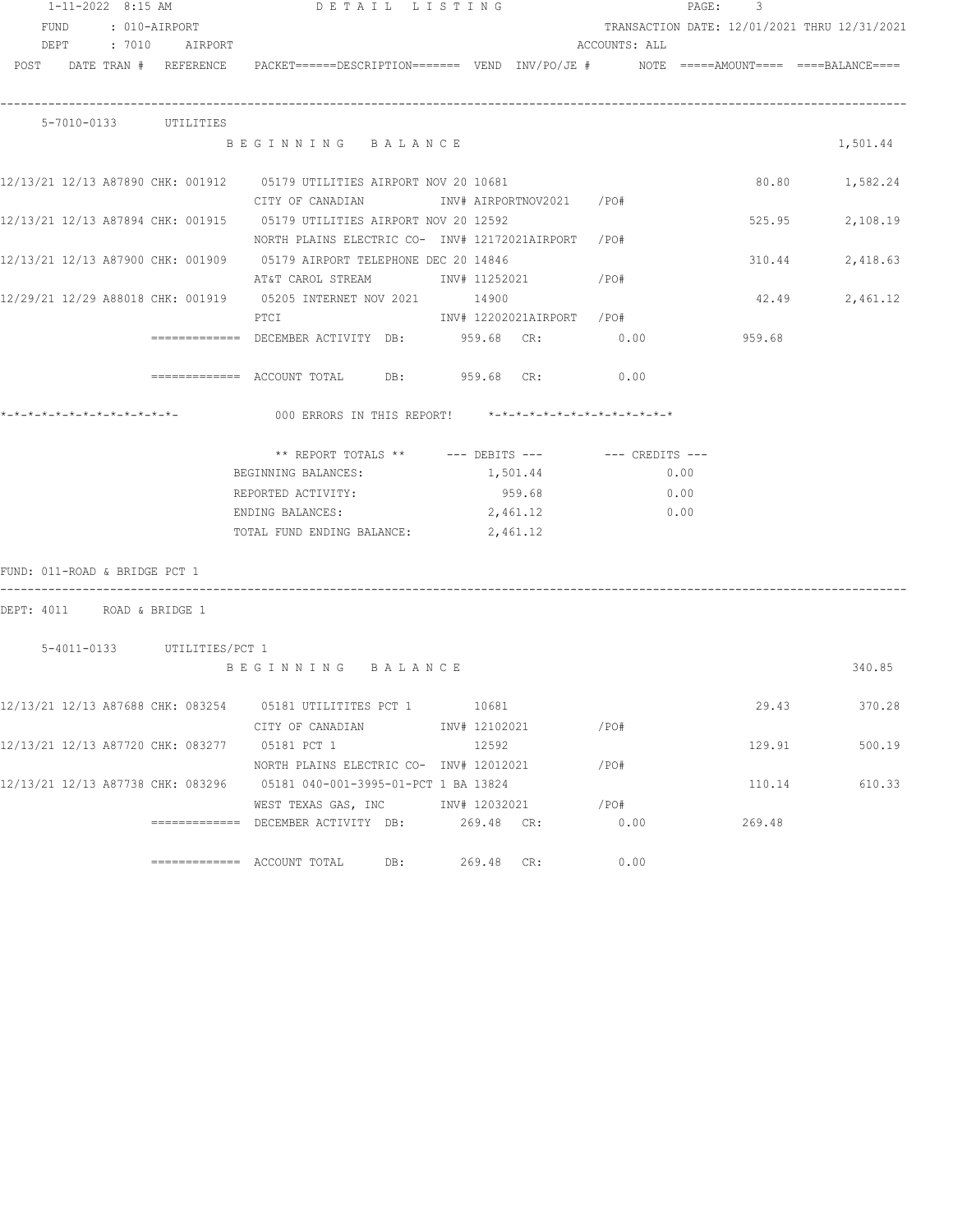|                               | $1 - 11 - 2022$ 8:15 AM |                                   | DETAIL LISTING                                                                                                                |     |                           | PAGE: 3 |               |        |                                              |
|-------------------------------|-------------------------|-----------------------------------|-------------------------------------------------------------------------------------------------------------------------------|-----|---------------------------|---------|---------------|--------|----------------------------------------------|
|                               |                         | FUND : 010-AIRPORT                |                                                                                                                               |     |                           |         |               |        | TRANSACTION DATE: 12/01/2021 THRU 12/31/2021 |
|                               |                         | DEPT : 7010 AIRPORT               |                                                                                                                               |     |                           |         | ACCOUNTS: ALL |        |                                              |
|                               |                         |                                   | POST DATE TRAN # REFERENCE PACKET======DESCRIPTION======= VEND INV/PO/JE # NOTE =====AMOUNT==== ====BALANCE====               |     |                           |         |               |        |                                              |
|                               |                         | 5-7010-0133 UTILITIES             |                                                                                                                               |     |                           |         |               |        |                                              |
|                               |                         |                                   | BEGINNING BALANCE                                                                                                             |     |                           |         |               |        | 1,501.44                                     |
|                               |                         |                                   | 12/13/21 12/13 A87890 CHK: 001912 05179 UTILITIES AIRPORT NOV 20 10681                                                        |     |                           |         |               |        | 80.80 1,582.24                               |
|                               |                         |                                   | CITY OF CANADIAN MOTHER INV# AIRPORTNOV2021 / PO#                                                                             |     |                           |         |               |        |                                              |
|                               |                         |                                   | 12/13/21 12/13 A87894 CHK: 001915 05179 UTILITIES AIRPORT NOV 20 12592<br>NORTH PLAINS ELECTRIC CO- INV# 12172021AIRPORT /PO# |     |                           |         |               |        | 525.95<br>2,108.19                           |
|                               |                         |                                   | 12/13/21 12/13 A87900 CHK: 001909 05179 AIRPORT TELEPHONE DEC 20 14846                                                        |     |                           |         |               |        | 2,418.63<br>310.44                           |
|                               |                         |                                   | AT&T CAROL STREAM             INV# 11252021            /PO#                                                                   |     |                           |         |               |        |                                              |
|                               |                         |                                   |                                                                                                                               |     |                           |         |               |        |                                              |
|                               |                         |                                   | PTCI                                                                                                                          |     | INV# 12202021AIRPORT /PO# |         |               |        | 2,461.12<br>42.49                            |
|                               |                         |                                   |                                                                                                                               |     |                           |         |               |        |                                              |
|                               |                         |                                   | ============ DECEMBER ACTIVITY DB: 959.68 CR: 0.00                                                                            |     |                           |         |               | 959.68 |                                              |
|                               |                         |                                   | ============ ACCOUNT TOTAL DB: 959.68 CR: 0.00                                                                                |     |                           |         |               |        |                                              |
|                               |                         |                                   | 000 ERRORS IN THIS REPORT! $*-*-*-*-*-*-*-*-*-*-*-*-*-*-*-*$                                                                  |     |                           |         |               |        |                                              |
|                               |                         |                                   |                                                                                                                               |     |                           |         |               |        |                                              |
|                               |                         |                                   | ** REPORT TOTALS ** --- DEBITS --- -- CREDITS ---                                                                             |     |                           |         |               |        |                                              |
|                               |                         |                                   | BEGINNING BALANCES:                                                                                                           |     | 1,501.44                  |         |               | 0.00   |                                              |
|                               |                         |                                   | REPORTED ACTIVITY:                                                                                                            |     |                           | 959.68  | 0.00          |        |                                              |
|                               |                         |                                   | ENDING BALANCES: 2,461.12                                                                                                     |     |                           |         | 0.00          |        |                                              |
|                               |                         |                                   | TOTAL FUND ENDING BALANCE: 2,461.12                                                                                           |     |                           |         |               |        |                                              |
| FUND: 011-ROAD & BRIDGE PCT 1 |                         |                                   |                                                                                                                               |     |                           |         |               |        |                                              |
| DEPT: 4011 ROAD & BRIDGE 1    |                         |                                   |                                                                                                                               |     |                           |         |               |        |                                              |
|                               |                         |                                   |                                                                                                                               |     |                           |         |               |        |                                              |
|                               |                         | 5-4011-0133 UTILITIES/PCT 1       | BEGINNING BALANCE                                                                                                             |     |                           |         |               |        | 340.85                                       |
|                               |                         |                                   |                                                                                                                               |     |                           |         |               |        |                                              |
|                               |                         | 12/13/21 12/13 A87688 CHK: 083254 | 05181 UTILITITES PCT 1 10681                                                                                                  |     |                           |         |               |        | 29.43<br>370.28                              |
|                               |                         |                                   | CITY OF CANADIAN                                                                                                              |     | INV# 12102021             |         | /PO#          |        |                                              |
|                               |                         |                                   | 12/13/21 12/13 A87720 CHK: 083277 05181 PCT 1                                                                                 |     | 12592                     |         |               |        | 129.91<br>500.19                             |
|                               |                         |                                   | NORTH PLAINS ELECTRIC CO- INV# 12012021                                                                                       |     |                           |         | /PO#          |        |                                              |
|                               |                         |                                   | 12/13/21 12/13 A87738 CHK: 083296 05181 040-001-3995-01-PCT 1 BA 13824                                                        |     |                           |         |               |        | 110.14<br>610.33                             |
|                               |                         |                                   | WEST TEXAS GAS, INC METALL 12032021                                                                                           |     |                           |         | /PO#          |        |                                              |
|                               |                         |                                   | ============ DECEMBER ACTIVITY DB: 269.48 CR:                                                                                 |     |                           |         | 0.00          | 269.48 |                                              |
|                               |                         |                                   |                                                                                                                               | DB: | 269.48 CR:                |         | 0.00          |        |                                              |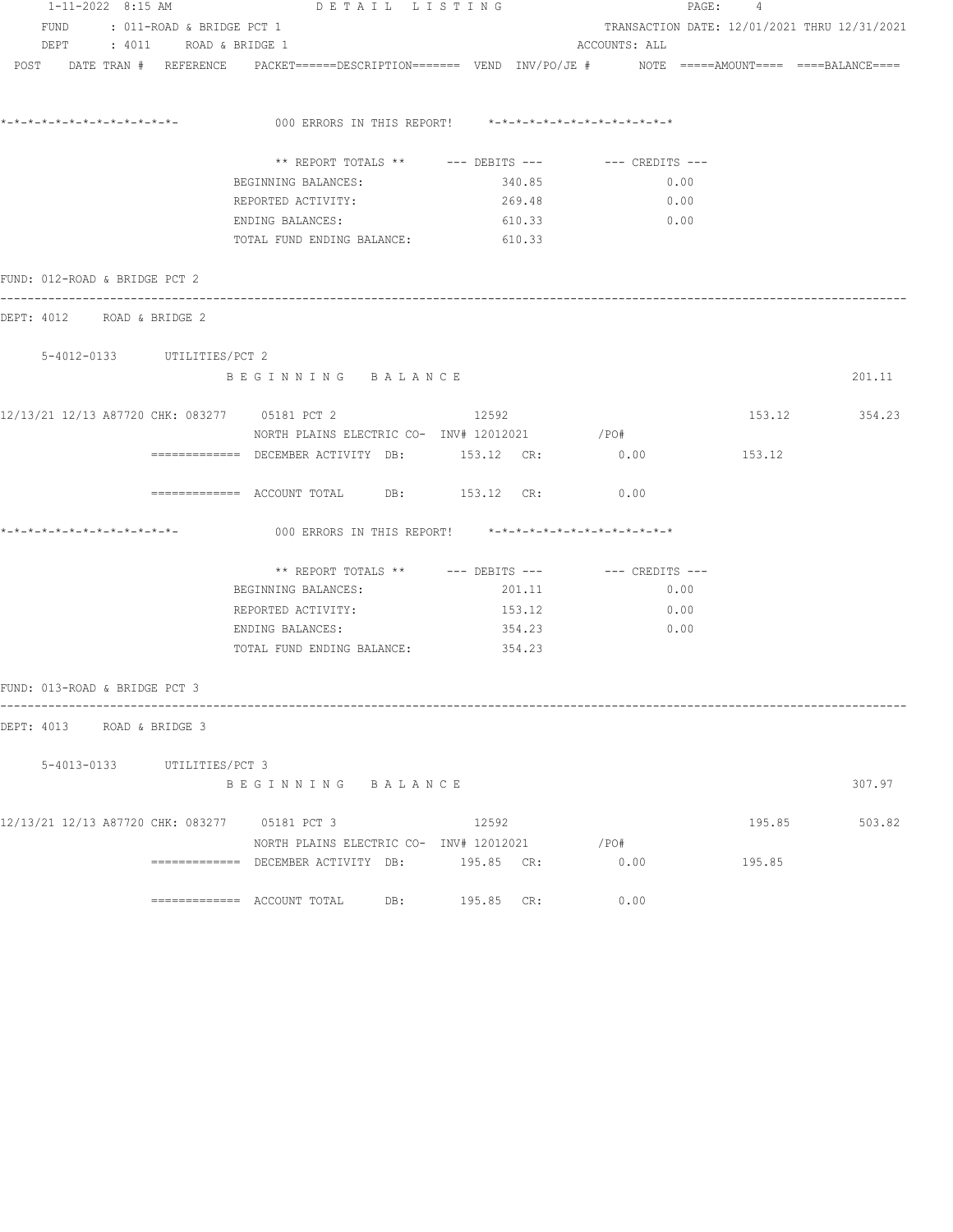| 1-11-2022 8:15 AM             |                                | DETAIL LISTING                                                                                                 |                                                      |                                              | PAGE: 4 |               |  |  |
|-------------------------------|--------------------------------|----------------------------------------------------------------------------------------------------------------|------------------------------------------------------|----------------------------------------------|---------|---------------|--|--|
|                               | FUND : 011-ROAD & BRIDGE PCT 1 |                                                                                                                |                                                      | TRANSACTION DATE: 12/01/2021 THRU 12/31/2021 |         |               |  |  |
|                               | DEPT : 4011 ROAD & BRIDGE 1    |                                                                                                                |                                                      | ACCOUNTS: ALL                                |         |               |  |  |
|                               |                                | POST DATE TRAN # REFERENCE PACKET======DESCRIPTION======= VEND INV/PO/JE # NOTE =====AMOUNT==== ===BALANCE==== |                                                      |                                              |         |               |  |  |
|                               |                                | 000 ERRORS IN THIS REPORT! $*-*-*-*-*-*-*-*-*-*-*-*-*-*-**$                                                    |                                                      |                                              |         |               |  |  |
|                               |                                |                                                                                                                | ** REPORT TOTALS ** --- DEBITS --- -- -- CREDITS --- |                                              |         |               |  |  |
|                               |                                | BEGINNING BALANCES:                                                                                            | 340.85                                               | 0.00                                         |         |               |  |  |
|                               |                                | REPORTED ACTIVITY:                                                                                             | 269.48                                               | 0.00                                         |         |               |  |  |
|                               |                                | ENDING BALANCES: 610.33                                                                                        |                                                      | 0.00                                         |         |               |  |  |
|                               |                                | TOTAL FUND ENDING BALANCE: 610.33                                                                              |                                                      |                                              |         |               |  |  |
| FUND: 012-ROAD & BRIDGE PCT 2 |                                |                                                                                                                |                                                      |                                              |         |               |  |  |
| DEPT: 4012 ROAD & BRIDGE 2    |                                |                                                                                                                |                                                      |                                              |         |               |  |  |
|                               | 5-4012-0133 UTILITIES/PCT 2    |                                                                                                                |                                                      |                                              |         |               |  |  |
|                               |                                | BEGINNING BALANCE                                                                                              |                                                      |                                              |         | 201.11        |  |  |
|                               |                                | 12/13/21 12/13 A87720 CHK: 083277 05181 PCT 2<br>NORTH PLAINS ELECTRIC CO- INV# 12012021 / PO#                 | 12592                                                |                                              |         | 153.12 354.23 |  |  |
|                               |                                | ============ DECEMBER ACTIVITY DB: 153.12 CR: 0.00                                                             |                                                      |                                              | 153.12  |               |  |  |
|                               |                                | ============ ACCOUNT TOTAL DB: 153.12 CR: 0.00                                                                 |                                                      |                                              |         |               |  |  |
|                               |                                | 000 ERRORS IN THIS REPORT! $*-*-*-*-*-*-*-*-*-*-*-*-*-*-*$                                                     |                                                      |                                              |         |               |  |  |
|                               |                                |                                                                                                                | ** REPORT TOTALS ** --- DEBITS --- -- CREDITS ---    |                                              |         |               |  |  |
|                               |                                | BEGINNING BALANCES:                                                                                            | 201.11                                               | 0.00                                         |         |               |  |  |
|                               |                                | REPORTED ACTIVITY:                                                                                             | 153.12                                               | 0.00                                         |         |               |  |  |
|                               |                                | ENDING BALANCES:                                                                                               | 354.23                                               | 0.00                                         |         |               |  |  |
|                               |                                | TOTAL FUND ENDING BALANCE: 354.23                                                                              |                                                      |                                              |         |               |  |  |
| FUND: 013-ROAD & BRIDGE PCT 3 |                                |                                                                                                                |                                                      |                                              |         |               |  |  |
| DEPT: 4013 ROAD & BRIDGE 3    |                                |                                                                                                                |                                                      |                                              |         |               |  |  |
|                               | 5-4013-0133 UTILITIES/PCT 3    |                                                                                                                |                                                      |                                              |         |               |  |  |
|                               |                                | BEGINNING BALANCE                                                                                              |                                                      |                                              |         | 307.97        |  |  |
|                               |                                | 12/13/21 12/13 A87720 CHK: 083277 05181 PCT 3                                                                  | 12592                                                |                                              | 195.85  | 503.82        |  |  |
|                               |                                | NORTH PLAINS ELECTRIC CO- INV# 12012021                                                                        |                                                      | $/$ PO#                                      |         |               |  |  |
|                               |                                | ============= DECEMBER ACTIVITY DB: 195.85 CR:                                                                 |                                                      | 0.00                                         | 195.85  |               |  |  |
|                               |                                | ============= ACCOUNT TOTAL DB: 195.85 CR:                                                                     |                                                      | 0.00                                         |         |               |  |  |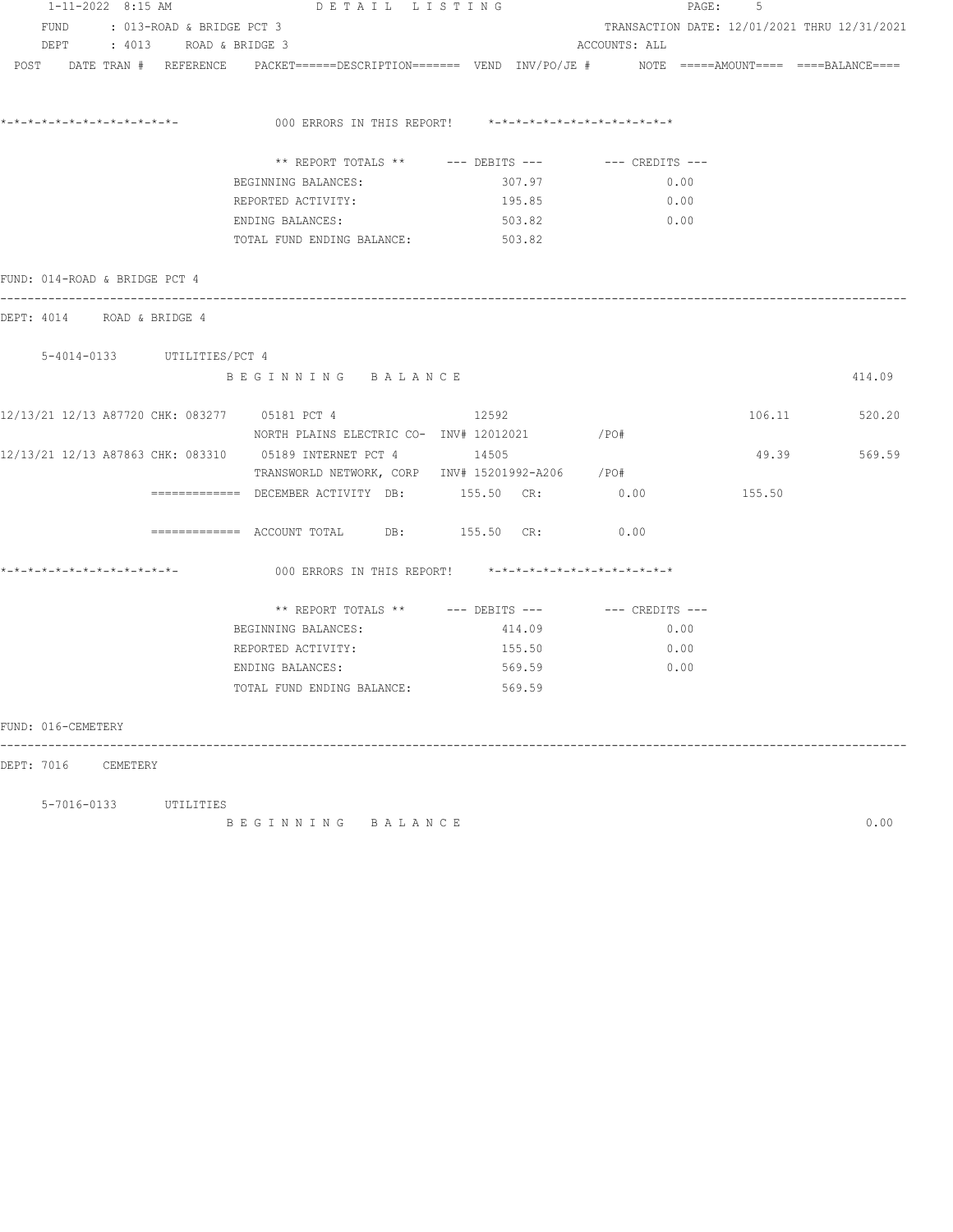| $1 - 11 - 2022$ 8:15 AM                       | DETAIL LISTING                                                                                                   |        |               | PAGE:<br>5                                   |               |
|-----------------------------------------------|------------------------------------------------------------------------------------------------------------------|--------|---------------|----------------------------------------------|---------------|
| FUND : 013-ROAD & BRIDGE PCT 3                |                                                                                                                  |        |               | TRANSACTION DATE: 12/01/2021 THRU 12/31/2021 |               |
| DEPT : 4013 ROAD & BRIDGE 3                   |                                                                                                                  |        | ACCOUNTS: ALL |                                              |               |
|                                               | POST DATE TRAN # REFERENCE PACKET======DESCRIPTION======= VEND INV/PO/JE # NOTE =====AMOUNT==== ====BALANCE====  |        |               |                                              |               |
|                                               | 000 ERRORS IN THIS REPORT! $*-*-*-*-*-*-*-*-*-*-*-*-*-*-**$                                                      |        |               |                                              |               |
|                                               | ** REPORT TOTALS ** $---$ DEBITS --- $---$ CREDITS ---                                                           |        |               |                                              |               |
|                                               | BEGINNING BALANCES:                                                                                              | 307.97 | 0.00          |                                              |               |
|                                               | REPORTED ACTIVITY: 195.85                                                                                        |        | $\sim 0.00$   |                                              |               |
|                                               | ENDING BALANCES:                                                                                                 | 503.82 | 0.00          |                                              |               |
|                                               | TOTAL FUND ENDING BALANCE: 503.82                                                                                |        |               |                                              |               |
| FUND: 014-ROAD & BRIDGE PCT 4                 |                                                                                                                  |        |               |                                              |               |
| DEPT: 4014 ROAD & BRIDGE 4                    |                                                                                                                  |        |               |                                              |               |
| 5-4014-0133 UTILITIES/PCT 4                   |                                                                                                                  |        |               |                                              |               |
|                                               | BEGINNING BALANCE                                                                                                |        |               |                                              | 414.09        |
| 12/13/21 12/13 A87720 CHK: 083277 05181 PCT 4 | NORTH PLAINS ELECTRIC CO- INV# 12012021 / PO#                                                                    | 12592  |               |                                              | 106.11 520.20 |
|                                               | 12/13/21 12/13 A87863 CHK: 083310 05189 INTERNET PCT 4 14505<br>TRANSWORLD NETWORK, CORP INV# 15201992-A206 /PO# |        |               |                                              | 49.39 569.59  |
|                                               | ============ DECEMBER ACTIVITY DB: 155.50 CR: 0.00                                                               |        |               | 155.50                                       |               |
|                                               | ============ ACCOUNT TOTAL DB: 155.50 CR: 0.00                                                                   |        |               |                                              |               |
|                                               | 000 ERRORS IN THIS REPORT! *-*-*-*-*-*-*-*-*-*-*-*-*-*-                                                          |        |               |                                              |               |
|                                               | ** REPORT TOTALS ** $---$ DEBITS --- $---$ CREDITS ---                                                           |        |               |                                              |               |
|                                               | BEGINNING BALANCES:                                                                                              | 414.09 | 0.00          |                                              |               |
|                                               | REPORTED ACTIVITY: $155.50$ 0.00                                                                                 |        |               |                                              |               |
|                                               | ENDING BALANCES: 569.59                                                                                          |        | $\sim$ 0.00   |                                              |               |
|                                               | TOTAL FUND ENDING BALANCE: 569.59                                                                                |        |               |                                              |               |
| FUND: 016-CEMETERY<br>-----                   |                                                                                                                  |        |               |                                              |               |
| DEPT: 7016 CEMETERY                           |                                                                                                                  |        |               |                                              |               |
| 5-7016-0133 UTILITIES                         |                                                                                                                  |        |               |                                              |               |

B E G I N N I N G B A L A N C E 0.00